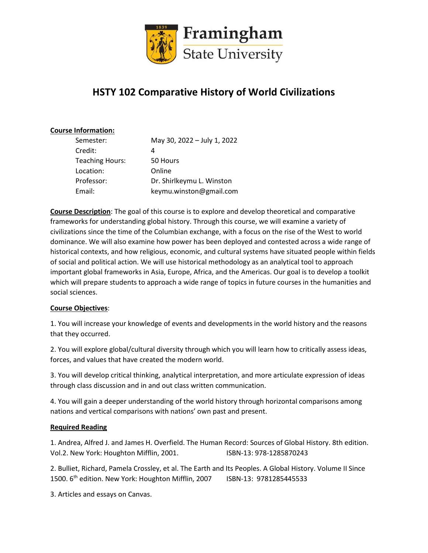

# **HSTY 102 Comparative History of World Civilizations**

### **Course Information:**

| Semester:              | May 30, 2022 - July 1, 2022 |
|------------------------|-----------------------------|
| Credit:                | 4                           |
| <b>Teaching Hours:</b> | 50 Hours                    |
| Location:              | Online                      |
| Professor:             | Dr. Shirlkeymu L. Winston   |
| Email:                 | keymu.winston@gmail.com     |

**Course Description**: The goal of this course is to explore and develop theoretical and comparative frameworks for understanding global history. Through this course, we will examine a variety of civilizations since the time of the Columbian exchange, with a focus on the rise of the West to world dominance. We will also examine how power has been deployed and contested across a wide range of historical contexts, and how religious, economic, and cultural systems have situated people within fields of social and political action. We will use historical methodology as an analytical tool to approach important global frameworks in Asia, Europe, Africa, and the Americas. Our goal is to develop a toolkit which will prepare students to approach a wide range of topics in future courses in the humanities and social sciences.

#### **Course Objectives**:

1. You will increase your knowledge of events and developments in the world history and the reasons that they occurred.

2. You will explore global/cultural diversity through which you will learn how to critically assess ideas, forces, and values that have created the modern world.

3. You will develop critical thinking, analytical interpretation, and more articulate expression of ideas through class discussion and in and out class written communication.

4. You will gain a deeper understanding of the world history through horizontal comparisons among nations and vertical comparisons with nations' own past and present.

### **Required Reading**

1. Andrea, Alfred J. and James H. Overfield. The Human Record: Sources of Global History. 8th edition. Vol.2. New York: Houghton Mifflin, 2001. ISBN-13: 978-1285870243

2. Bulliet, Richard, Pamela Crossley, et al. The Earth and Its Peoples. A Global History. Volume II Since 1500. 6th edition. New York: Houghton Mifflin, 2007 ISBN-13: 9781285445533

3. Articles and essays on Canvas.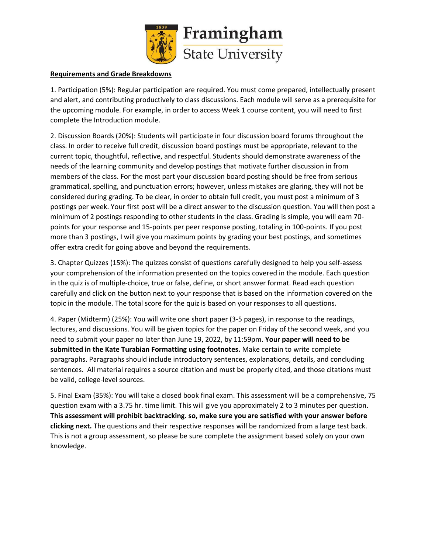

#### **Requirements and Grade Breakdowns**

1. Participation (5%): Regular participation are required. You must come prepared, intellectually present and alert, and contributing productively to class discussions. Each module will serve as a prerequisite for the upcoming module. For example, in order to access Week 1 course content, you will need to first complete the Introduction module.

2. Discussion Boards (20%): Students will participate in four discussion board forums throughout the class. In order to receive full credit, discussion board postings must be appropriate, relevant to the current topic, thoughtful, reflective, and respectful. Students should demonstrate awareness of the needs of the learning community and develop postings that motivate further discussion in from members of the class. For the most part your discussion board posting should be free from serious grammatical, spelling, and punctuation errors; however, unless mistakes are glaring, they will not be considered during grading. To be clear, in order to obtain full credit, you must post a minimum of 3 postings per week. Your first post will be a direct answer to the discussion question. You will then post a minimum of 2 postings responding to other students in the class. Grading is simple, you will earn 70 points for your response and 15-points per peer response posting, totaling in 100-points. If you post more than 3 postings, I will give you maximum points by grading your best postings, and sometimes offer extra credit for going above and beyond the requirements.

3. Chapter Quizzes (15%): The quizzes consist of questions carefully designed to help you self-assess your comprehension of the information presented on the topics covered in the module. Each question in the quiz is of multiple-choice, true or false, define, or short answer format. Read each question carefully and click on the button next to your response that is based on the information covered on the topic in the module. The total score for the quiz is based on your responses to all questions.

4. Paper (Midterm) (25%): You will write one short paper (3-5 pages), in response to the readings, lectures, and discussions. You will be given topics for the paper on Friday of the second week, and you need to submit your paper no later than June 19, 2022, by 11:59pm. **Your paper will need to be submitted in the Kate Turabian Formatting using footnotes.** Make certain to write complete paragraphs. Paragraphs should include introductory sentences, explanations, details, and concluding sentences. All material requires a source citation and must be properly cited, and those citations must be valid, college-level sources.

5. Final Exam (35%): You will take a closed book final exam. This assessment will be a comprehensive, 75 question exam with a 3.75 hr. time limit. This will give you approximately 2 to 3 minutes per question. **This assessment will prohibit backtracking. so, make sure you are satisfied with your answer before clicking next.** The questions and their respective responses will be randomized from a large test back. This is not a group assessment, so please be sure complete the assignment based solely on your own knowledge.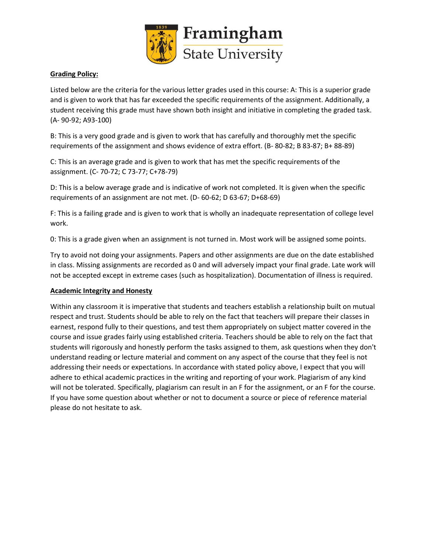

### **Grading Policy:**

Listed below are the criteria for the various letter grades used in this course: A: This is a superior grade and is given to work that has far exceeded the specific requirements of the assignment. Additionally, a student receiving this grade must have shown both insight and initiative in completing the graded task. (A- 90-92; A93-100)

B: This is a very good grade and is given to work that has carefully and thoroughly met the specific requirements of the assignment and shows evidence of extra effort. (B- 80-82; B 83-87; B+ 88-89)

C: This is an average grade and is given to work that has met the specific requirements of the assignment. (C- 70-72; C 73-77; C+78-79)

D: This is a below average grade and is indicative of work not completed. It is given when the specific requirements of an assignment are not met. (D- 60-62; D 63-67; D+68-69)

F: This is a failing grade and is given to work that is wholly an inadequate representation of college level work.

0: This is a grade given when an assignment is not turned in. Most work will be assigned some points.

Try to avoid not doing your assignments. Papers and other assignments are due on the date established in class. Missing assignments are recorded as 0 and will adversely impact your final grade. Late work will not be accepted except in extreme cases (such as hospitalization). Documentation of illness is required.

### **Academic Integrity and Honesty**

Within any classroom it is imperative that students and teachers establish a relationship built on mutual respect and trust. Students should be able to rely on the fact that teachers will prepare their classes in earnest, respond fully to their questions, and test them appropriately on subject matter covered in the course and issue grades fairly using established criteria. Teachers should be able to rely on the fact that students will rigorously and honestly perform the tasks assigned to them, ask questions when they don't understand reading or lecture material and comment on any aspect of the course that they feel is not addressing their needs or expectations. In accordance with stated policy above, I expect that you will adhere to ethical academic practices in the writing and reporting of your work. Plagiarism of any kind will not be tolerated. Specifically, plagiarism can result in an F for the assignment, or an F for the course. If you have some question about whether or not to document a source or piece of reference material please do not hesitate to ask.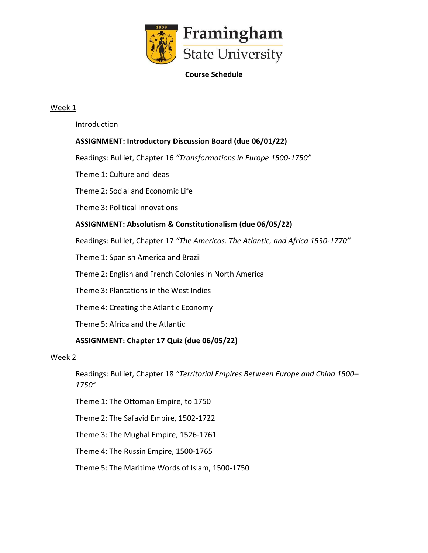

### **Course Schedule**

### Week 1

Introduction

# **ASSIGNMENT: Introductory Discussion Board (due 06/01/22)**

Readings: Bulliet, Chapter 16 *"Transformations in Europe 1500-1750"*

Theme 1: Culture and Ideas

Theme 2: Social and Economic Life

Theme 3: Political Innovations

### **ASSIGNMENT: Absolutism & Constitutionalism (due 06/05/22)**

Readings: Bulliet, Chapter 17 *"The Americas. The Atlantic, and Africa 1530-1770"*

Theme 1: Spanish America and Brazil

Theme 2: English and French Colonies in North America

Theme 3: Plantations in the West Indies

Theme 4: Creating the Atlantic Economy

Theme 5: Africa and the Atlantic

### **ASSIGNMENT: Chapter 17 Quiz (due 06/05/22)**

### Week 2

Readings: Bulliet, Chapter 18 *"Territorial Empires Between Europe and China 1500– 1750"*

Theme 1: The Ottoman Empire, to 1750

Theme 2: The Safavid Empire, 1502-1722

Theme 3: The Mughal Empire, 1526-1761

Theme 4: The Russin Empire, 1500-1765

Theme 5: The Maritime Words of Islam, 1500-1750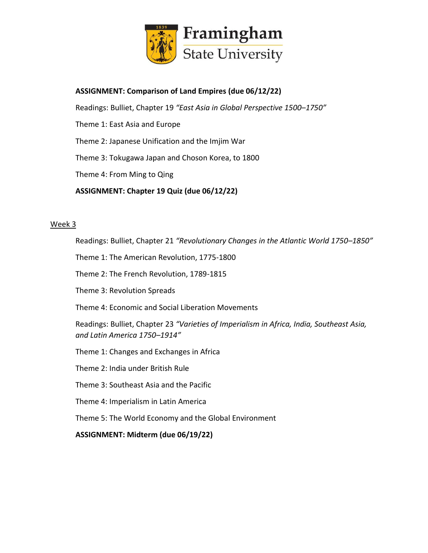

## **ASSIGNMENT: Comparison of Land Empires (due 06/12/22)**

Readings: Bulliet, Chapter 19 *"East Asia in Global Perspective 1500–1750"*

- Theme 1: East Asia and Europe
- Theme 2: Japanese Unification and the Imjim War

Theme 3: Tokugawa Japan and Choson Korea, to 1800

Theme 4: From Ming to Qing

**ASSIGNMENT: Chapter 19 Quiz (due 06/12/22)**

### Week 3

Readings: Bulliet, Chapter 21 *"Revolutionary Changes in the Atlantic World 1750–1850"*

Theme 1: The American Revolution, 1775-1800

- Theme 2: The French Revolution, 1789-1815
- Theme 3: Revolution Spreads
- Theme 4: Economic and Social Liberation Movements

Readings: Bulliet, Chapter 23 *"Varieties of Imperialism in Africa, India, Southeast Asia, and Latin America 1750–1914"*

- Theme 1: Changes and Exchanges in Africa
- Theme 2: India under British Rule
- Theme 3: Southeast Asia and the Pacific
- Theme 4: Imperialism in Latin America

Theme 5: The World Economy and the Global Environment

**ASSIGNMENT: Midterm (due 06/19/22)**